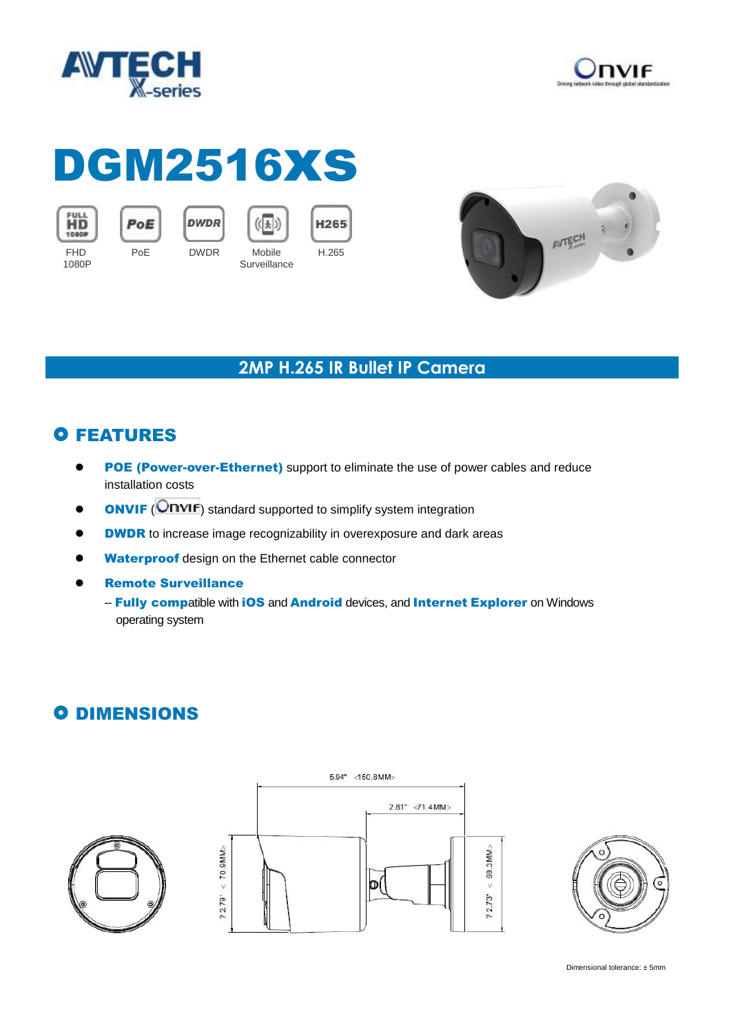



# DGM2516xs



1080P



**DWDR** PoE DWDR Mobile



**Surveillance** 

 $(\overline{(\cdot)})$ 



#### **2MP H.265 IR Bullet IP Camera**

# **O FEATURES**

- **POE (Power-over-Ethernet)** support to eliminate the use of power cables and reduce installation costs
- **ONVIF** (**ONVIF**) standard supported to simplify system integration
- **ODWDR** to increase image recognizability in overexposure and dark areas
- **Waterproof** design on the Ethernet cable connector
- Remote Surveillance
	- -- Fully compatible with iOS and Android devices, and Internet Explorer on Windows operating system

## **O DIMENSIONS**





Dimensional tolerance: ± 5mm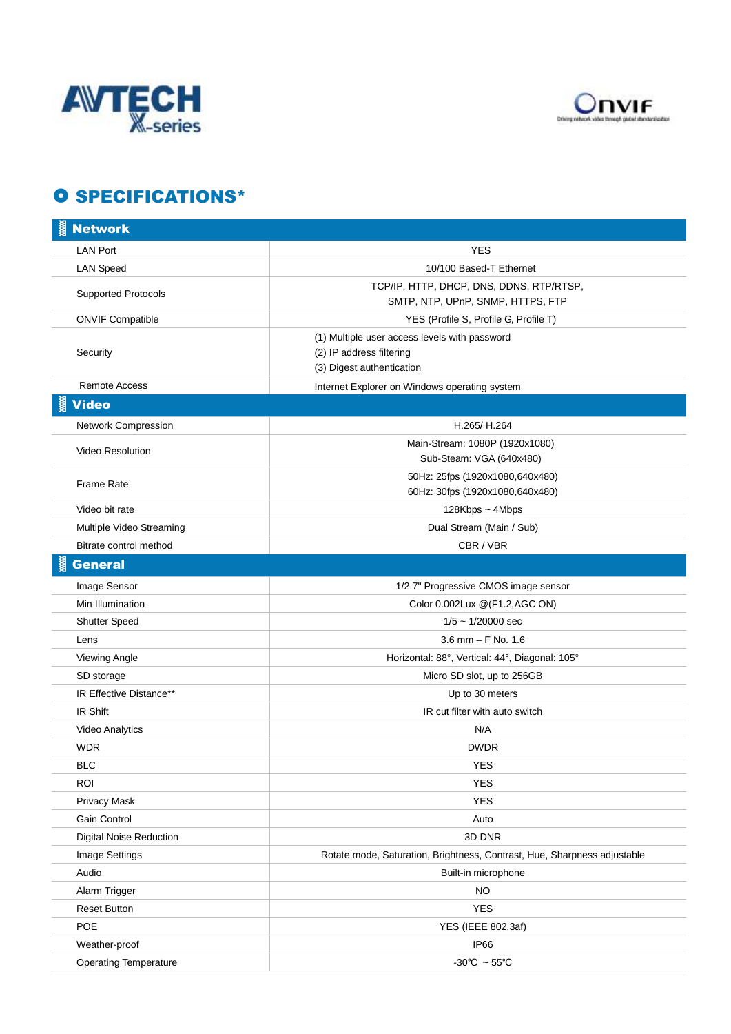



### **O SPECIFICATIONS\***

| <b>Network</b>                 |                                                                                                        |
|--------------------------------|--------------------------------------------------------------------------------------------------------|
| <b>LAN Port</b>                | <b>YES</b>                                                                                             |
| <b>LAN Speed</b>               | 10/100 Based-T Ethernet                                                                                |
| <b>Supported Protocols</b>     | TCP/IP, HTTP, DHCP, DNS, DDNS, RTP/RTSP,                                                               |
|                                | SMTP, NTP, UPnP, SNMP, HTTPS, FTP                                                                      |
| <b>ONVIF Compatible</b>        | YES (Profile S, Profile G, Profile T)                                                                  |
| Security                       | (1) Multiple user access levels with password<br>(2) IP address filtering<br>(3) Digest authentication |
| <b>Remote Access</b>           | Internet Explorer on Windows operating system                                                          |
| <b>Video</b>                   |                                                                                                        |
| Network Compression            | H.265/ H.264                                                                                           |
| Video Resolution               | Main-Stream: 1080P (1920x1080)<br>Sub-Steam: VGA (640x480)                                             |
| Frame Rate                     | 50Hz: 25fps (1920x1080,640x480)<br>60Hz: 30fps (1920x1080,640x480)                                     |
| Video bit rate                 | 128Kbps ~ 4Mbps                                                                                        |
| Multiple Video Streaming       | Dual Stream (Main / Sub)                                                                               |
| Bitrate control method         | CBR / VBR                                                                                              |
| <b>General</b>                 |                                                                                                        |
| Image Sensor                   | 1/2.7" Progressive CMOS image sensor                                                                   |
| Min Illumination               | Color 0.002Lux @(F1.2,AGC ON)                                                                          |
| <b>Shutter Speed</b>           | $1/5 \sim 1/20000$ sec                                                                                 |
| Lens                           | $3.6$ mm $-$ F No. 1.6                                                                                 |
| Viewing Angle                  | Horizontal: 88°, Vertical: 44°, Diagonal: 105°                                                         |
| SD storage                     | Micro SD slot, up to 256GB                                                                             |
| IR Effective Distance**        | Up to 30 meters                                                                                        |
| IR Shift                       | IR cut filter with auto switch                                                                         |
| Video Analytics                | N/A                                                                                                    |
| <b>WDR</b>                     | <b>DWDR</b>                                                                                            |
| <b>BLC</b>                     | <b>YES</b>                                                                                             |
| <b>ROI</b>                     | <b>YES</b>                                                                                             |
| Privacy Mask                   | <b>YES</b>                                                                                             |
| Gain Control                   | Auto                                                                                                   |
| <b>Digital Noise Reduction</b> | 3D DNR                                                                                                 |
| Image Settings                 | Rotate mode, Saturation, Brightness, Contrast, Hue, Sharpness adjustable                               |
| Audio                          | Built-in microphone                                                                                    |
| Alarm Trigger                  | <b>NO</b>                                                                                              |
| <b>Reset Button</b>            | <b>YES</b>                                                                                             |
| POE                            | YES (IEEE 802.3af)                                                                                     |
| Weather-proof                  | <b>IP66</b>                                                                                            |
| <b>Operating Temperature</b>   | -30°C $\sim$ 55°C                                                                                      |